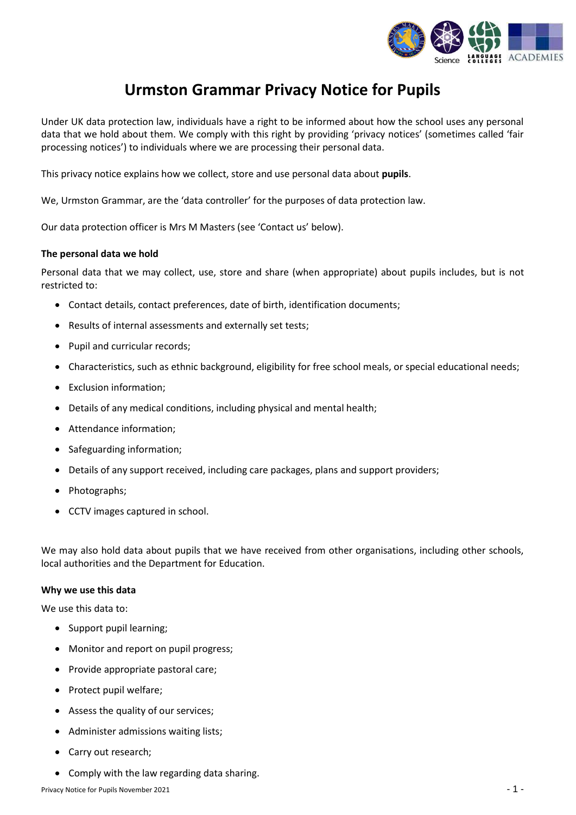

# **Urmston Grammar Privacy Notice for Pupils**

Under UK data protection law, individuals have a right to be informed about how the school uses any personal data that we hold about them. We comply with this right by providing 'privacy notices' (sometimes called 'fair processing notices') to individuals where we are processing their personal data.

This privacy notice explains how we collect, store and use personal data about **pupils**.

We, Urmston Grammar, are the 'data controller' for the purposes of data protection law.

Our data protection officer is Mrs M Masters (see 'Contact us' below).

## **The personal data we hold**

Personal data that we may collect, use, store and share (when appropriate) about pupils includes, but is not restricted to:

- Contact details, contact preferences, date of birth, identification documents;
- Results of internal assessments and externally set tests;
- Pupil and curricular records;
- Characteristics, such as ethnic background, eligibility for free school meals, or special educational needs;
- Exclusion information;
- Details of any medical conditions, including physical and mental health;
- Attendance information;
- Safeguarding information;
- Details of any support received, including care packages, plans and support providers;
- Photographs;
- CCTV images captured in school.

We may also hold data about pupils that we have received from other organisations, including other schools, local authorities and the Department for Education.

#### **Why we use this data**

We use this data to:

- Support pupil learning;
- Monitor and report on pupil progress;
- Provide appropriate pastoral care;
- Protect pupil welfare;
- Assess the quality of our services;
- Administer admissions waiting lists;
- Carry out research;
- Comply with the law regarding data sharing.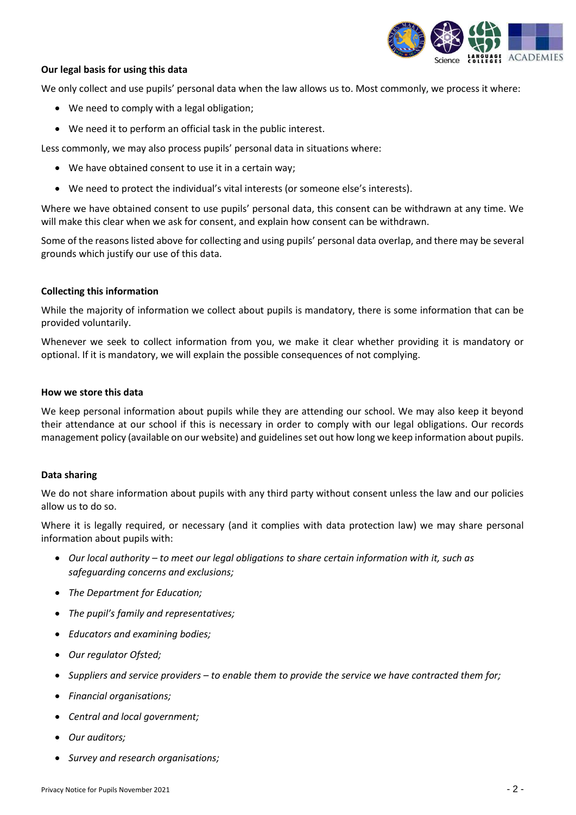

# **Our legal basis for using this data**

We only collect and use pupils' personal data when the law allows us to. Most commonly, we process it where:

- We need to comply with a legal obligation;
- We need it to perform an official task in the public interest.

Less commonly, we may also process pupils' personal data in situations where:

- We have obtained consent to use it in a certain way;
- We need to protect the individual's vital interests (or someone else's interests).

Where we have obtained consent to use pupils' personal data, this consent can be withdrawn at any time. We will make this clear when we ask for consent, and explain how consent can be withdrawn.

Some of the reasons listed above for collecting and using pupils' personal data overlap, and there may be several grounds which justify our use of this data.

## **Collecting this information**

While the majority of information we collect about pupils is mandatory, there is some information that can be provided voluntarily.

Whenever we seek to collect information from you, we make it clear whether providing it is mandatory or optional. If it is mandatory, we will explain the possible consequences of not complying.

## **How we store this data**

We keep personal information about pupils while they are attending our school. We may also keep it beyond their attendance at our school if this is necessary in order to comply with our legal obligations. Our records management policy (available on our website) and guidelines set out how long we keep information about pupils.

## **Data sharing**

We do not share information about pupils with any third party without consent unless the law and our policies allow us to do so.

Where it is legally required, or necessary (and it complies with data protection law) we may share personal information about pupils with:

- *Our local authority – to meet our legal obligations to share certain information with it, such as safeguarding concerns and exclusions;*
- *The Department for Education;*
- *The pupil's family and representatives;*
- *Educators and examining bodies;*
- *Our regulator Ofsted;*
- *Suppliers and service providers – to enable them to provide the service we have contracted them for;*
- *Financial organisations;*
- *Central and local government;*
- *Our auditors;*
- *Survey and research organisations;*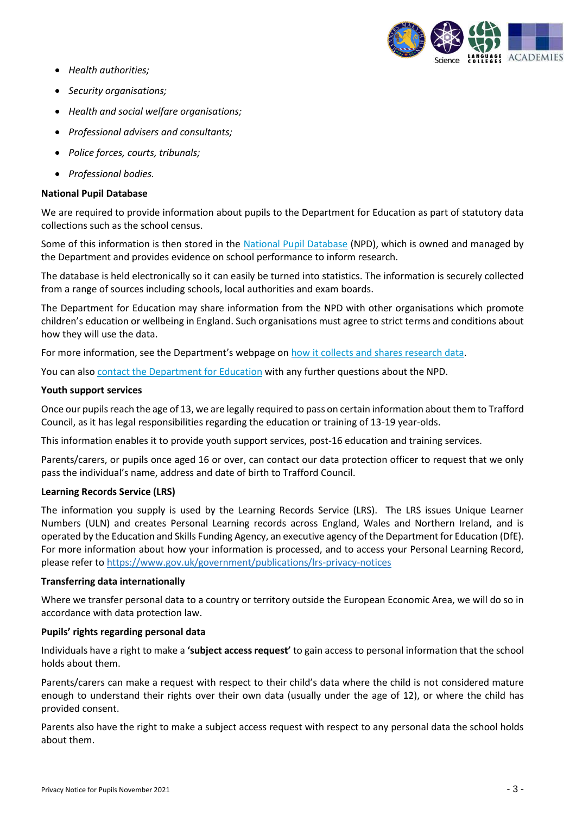

- *Health authorities;*
- *Security organisations;*
- *Health and social welfare organisations;*
- *Professional advisers and consultants;*
- *Police forces, courts, tribunals;*
- *Professional bodies.*

## **National Pupil Database**

We are required to provide information about pupils to the Department for Education as part of statutory data collections such as the school census.

Some of this information is then stored in the [National Pupil Database](https://www.gov.uk/government/publications/national-pupil-database-user-guide-and-supporting-information) (NPD), which is owned and managed by the Department and provides evidence on school performance to inform research.

The database is held electronically so it can easily be turned into statistics. The information is securely collected from a range of sources including schools, local authorities and exam boards.

The Department for Education may share information from the NPD with other organisations which promote children's education or wellbeing in England. Such organisations must agree to strict terms and conditions about how they will use the data.

For more information, see the Department's webpage on [how it collects and shares research data.](https://www.gov.uk/data-protection-how-we-collect-and-share-research-data)

You can als[o contact the Department for Education](https://www.gov.uk/contact-dfe) with any further questions about the NPD.

## **Youth support services**

Once our pupils reach the age of 13, we are legally required to pass on certain information about them to Trafford Council, as it has legal responsibilities regarding the education or training of 13-19 year-olds.

This information enables it to provide youth support services, post-16 education and training services.

Parents/carers, or pupils once aged 16 or over, can contact our data protection officer to request that we only pass the individual's name, address and date of birth to Trafford Council.

## **Learning Records Service (LRS)**

The information you supply is used by the Learning Records Service (LRS). The LRS issues Unique Learner Numbers (ULN) and creates Personal Learning records across England, Wales and Northern Ireland, and is operated by the Education and Skills Funding Agency, an executive agency of the Department for Education (DfE). For more information about how your information is processed, and to access your Personal Learning Record, please refer to<https://www.gov.uk/government/publications/lrs-privacy-notices>

# **Transferring data internationally**

Where we transfer personal data to a country or territory outside the European Economic Area, we will do so in accordance with data protection law.

# **Pupils' rights regarding personal data**

Individuals have a right to make a **'subject access request'** to gain access to personal information that the school holds about them.

Parents/carers can make a request with respect to their child's data where the child is not considered mature enough to understand their rights over their own data (usually under the age of 12), or where the child has provided consent.

Parents also have the right to make a subject access request with respect to any personal data the school holds about them.